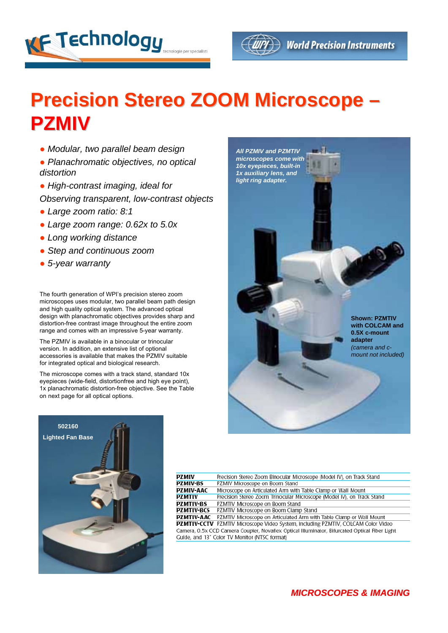



## **Precision Stereo ZOOM Microscope – PZMIV**

- *Modular, two parallel beam design*
- *Planachromatic objectives, no optical distortion*
- *High-contrast imaging, ideal for Observing transparent, low-contrast objects*
- *Large zoom ratio: 8:1*
- *Large zoom range: 0.62x to 5.0x*
- *Long working distance*
- *Step and continuous zoom*
- *5-year warranty*

The fourth generation of WPI's precision stereo zoom microscopes uses modular, two parallel beam path design and high quality optical system. The advanced optical design with planachromatic objectives provides sharp and distortion-free contrast image throughout the entire zoom range and comes with an impressive 5-year warranty.

The PZMIV is available in a binocular or trinocular version. In addition, an extensive list of optional accessories is available that makes the PZMIV suitable for integrated optical and biological research.

The microscope comes with a track stand, standard 10x eyepieces (wide-field, distortionfree and high eye point), 1x planachromatic distortion-free objective. See the Table on next page for all optical options.





| PZMIV                                                                                         | Precision Stereo Zoom Binocular Microscope (Model IV), on Track Stand            |  |  |  |  |
|-----------------------------------------------------------------------------------------------|----------------------------------------------------------------------------------|--|--|--|--|
| <b>PZMIV-BS</b>                                                                               | PZMIV Microscope on Boom Stand                                                   |  |  |  |  |
| PZMIV-AAC                                                                                     | Microscope on Articulated Arm with Table Clamp or Wall Mount                     |  |  |  |  |
| PZMTIV                                                                                        | Precision Stereo Zoom Trinocular Microscope (Model IV), on Track Stand           |  |  |  |  |
| <b>PZMTIV-BS</b>                                                                              | PZMTIV Microscope on Boom Stand                                                  |  |  |  |  |
| PZMTIV-BCS                                                                                    | PZMTIV Microscope on Boom Clamp Stand                                            |  |  |  |  |
| PZMTIV-AAC                                                                                    | PZMTIV Microscope on Articulated Arm with Table Clamp or Wall Mount              |  |  |  |  |
|                                                                                               | PZMTIV-CCTV PZMTIV Microscope Video System, including PZMTIV, COLCAM Color Video |  |  |  |  |
| Camera, 0.5x CCD Camera Coupler, Novaflex Optical Illuminator, Bifurcated Optical Fiber Light |                                                                                  |  |  |  |  |
| Guide, and 13" Color TV Monitor (NTSC format)                                                 |                                                                                  |  |  |  |  |
|                                                                                               |                                                                                  |  |  |  |  |

## *MICROSCOPES & IMAGING*